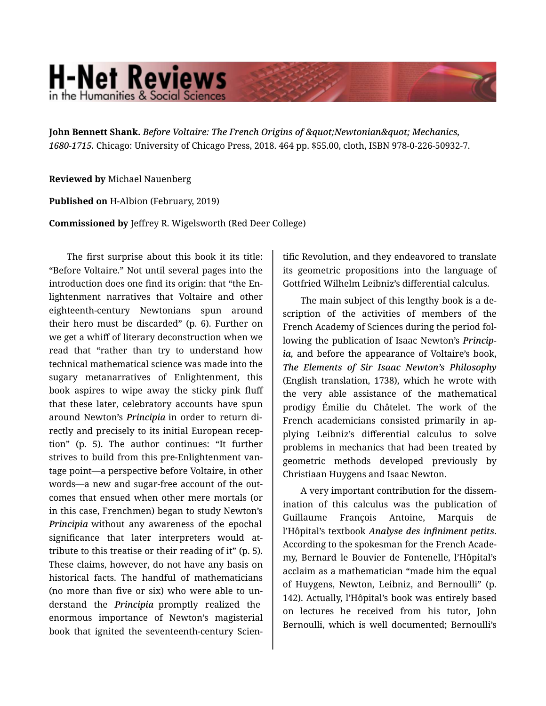## **H-Net Reviews** in the Humanities & Social Scienc

**John Bennett Shank.** *Before Voltaire: The French Origins of " Newtonian" Mechanics, 1680-1715.* Chicago: University of Chicago Press, 2018. 464 pp. \$55.00, cloth, ISBN 978-0-226-50932-7.

**Reviewed by** Michael Nauenberg

**Published on** H-Albion (February, 2019)

**Commissioned by** Jeffrey R. Wigelsworth (Red Deer College)

The first surprise about this book it its title: "Before Voltaire." Not until several pages into the introduction does one find its origin: that "the En‐ lightenment narratives that Voltaire and other eighteenth-century Newtonians spun around their hero must be discarded" (p. 6). Further on we get a whiff of literary deconstruction when we read that "rather than try to understand how technical mathematical science was made into the sugary metanarratives of Enlightenment, this book aspires to wipe away the sticky pink fluff that these later, celebratory accounts have spun around Newton's *Principia* in order to return di‐ rectly and precisely to its initial European recep‐ tion" (p. 5). The author continues: "It further strives to build from this pre-Enlightenment van‐ tage point—a perspective before Voltaire, in other words—a new and sugar-free account of the out‐ comes that ensued when other mere mortals (or in this case, Frenchmen) began to study Newton's *Principia* without any awareness of the epochal significance that later interpreters would attribute to this treatise or their reading of it" (p. 5). These claims, however, do not have any basis on historical facts. The handful of mathematicians (no more than five or six) who were able to un‐ derstand the *Principia* promptly realized the enormous importance of Newton's magisterial book that ignited the seventeenth-century Scien‐

tific Revolution, and they endeavored to translate its geometric propositions into the language of Gottfried Wilhelm Leibniz's differential calculus.

The main subject of this lengthy book is a de‐ scription of the activities of members of the French Academy of Sciences during the period fol‐ lowing the publication of Isaac Newton's *Princip‐ ia,* and before the appearance of Voltaire's book, *The Elements of Sir Isaac Newton's Philosophy* (English translation, 1738), which he wrote with the very able assistance of the mathematical prodigy Émilie du Châtelet. The work of the French academicians consisted primarily in ap‐ plying Leibniz's differential calculus to solve problems in mechanics that had been treated by geometric methods developed previously by Christiaan Huygens and Isaac Newton.

A very important contribution for the dissem‐ ination of this calculus was the publication of Guillaume François Antoine, Marquis de l'Hôpital's textbook *Analyse des infiniment petits*. According to the spokesman for the French Acade‐ my, Bernard le Bouvier de Fontenelle, l'Hôpital's acclaim as a mathematician "made him the equal of Huygens, Newton, Leibniz, and Bernoulli" (p. 142). Actually, l'Hôpital's book was entirely based on lectures he received from his tutor, John Bernoulli, which is well documented; Bernoulli's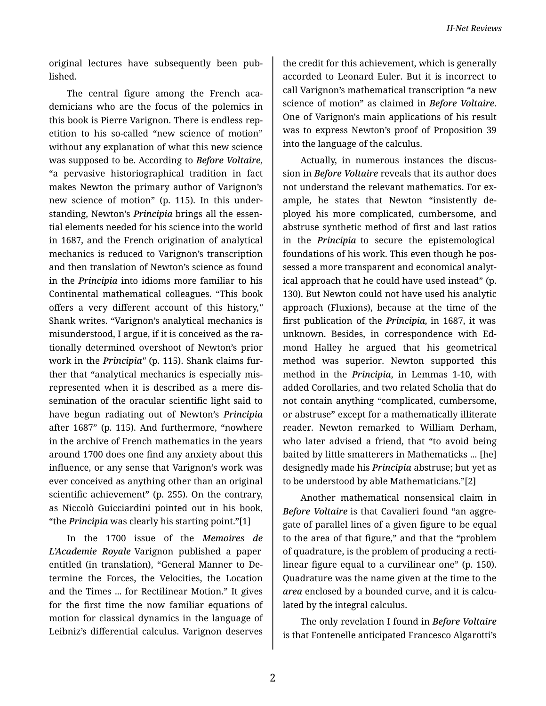*H-Net Reviews*

original lectures have subsequently been pub‐ lished.

The central figure among the French academicians who are the focus of the polemics in this book is Pierre Varignon. There is endless rep‐ etition to his so-called "new science of motion" without any explanation of what this new science was supposed to be. According to *Before Voltaire*, "a pervasive historiographical tradition in fact makes Newton the primary author of Varignon's new science of motion" (p. 115). In this under‐ standing, Newton's *Principia* brings all the essen‐ tial elements needed for his science into the world in 1687, and the French origination of analytical mechanics is reduced to Varignon's transcription and then translation of Newton's science as found in the *Principia* into idioms more familiar to his Continental mathematical colleagues. "This book offers a very different account of this history,*"* Shank writes. "Varignon's analytical mechanics is misunderstood, I argue, if it is conceived as the ra‐ tionally determined overshoot of Newton's prior work in the *Principia"* (p. 115). Shank claims fur‐ ther that "analytical mechanics is especially mis‐ represented when it is described as a mere dis‐ semination of the oracular scientific light said to have begun radiating out of Newton's *Principia* after 1687" (p. 115). And furthermore, "nowhere in the archive of French mathematics in the years around 1700 does one find any anxiety about this influence, or any sense that Varignon's work was ever conceived as anything other than an original scientific achievement" (p. 255). On the contrary, as Niccolò Guicciardini pointed out in his book, "the *Principia* was clearly his starting point."[1]

In the 1700 issue of the *Memoires de L'Academie Royale* Varignon published a paper entitled (in translation), "General Manner to De‐ termine the Forces, the Velocities, the Location and the Times ... for Rectilinear Motion." It gives for the first time the now familiar equations of motion for classical dynamics in the language of Leibniz's differential calculus. Varignon deserves

the credit for this achievement, which is generally accorded to Leonard Euler. But it is incorrect to call Varignon's mathematical transcription "a new science of motion" as claimed in *Before Voltaire*. One of Varignon's main applications of his result was to express Newton's proof of Proposition 39 into the language of the calculus.

Actually, in numerous instances the discus‐ sion in *Before Voltaire* reveals that its author does not understand the relevant mathematics. For ex‐ ample, he states that Newton "insistently de‐ ployed his more complicated, cumbersome, and abstruse synthetic method of first and last ratios in the *Principia* to secure the epistemological foundations of his work. This even though he pos‐ sessed a more transparent and economical analyt‐ ical approach that he could have used instead" (p. 130). But Newton could not have used his analytic approach (Fluxions), because at the time of the first publication of the *Principia,* in 1687, it was unknown. Besides, in correspondence with Ed‐ mond Halley he argued that his geometrical method was superior. Newton supported this method in the *Principia*, in Lemmas 1-10, with added Corollaries, and two related Scholia that do not contain anything "complicated, cumbersome, or abstruse" except for a mathematically illiterate reader. Newton remarked to William Derham, who later advised a friend, that "to avoid being baited by little smatterers in Mathematicks ... [he] designedly made his *Principia* abstruse; but yet as to be understood by able Mathematicians."[2]

Another mathematical nonsensical claim in *Before Voltaire* is that Cavalieri found "an aggre‐ gate of parallel lines of a given figure to be equal to the area of that figure," and that the "problem of quadrature, is the problem of producing a recti‐ linear figure equal to a curvilinear one" (p. 150). Quadrature was the name given at the time to the *area* enclosed by a bounded curve, and it is calcu‐ lated by the integral calculus.

The only revelation I found in *Before Voltaire* is that Fontenelle anticipated Francesco Algarotti's